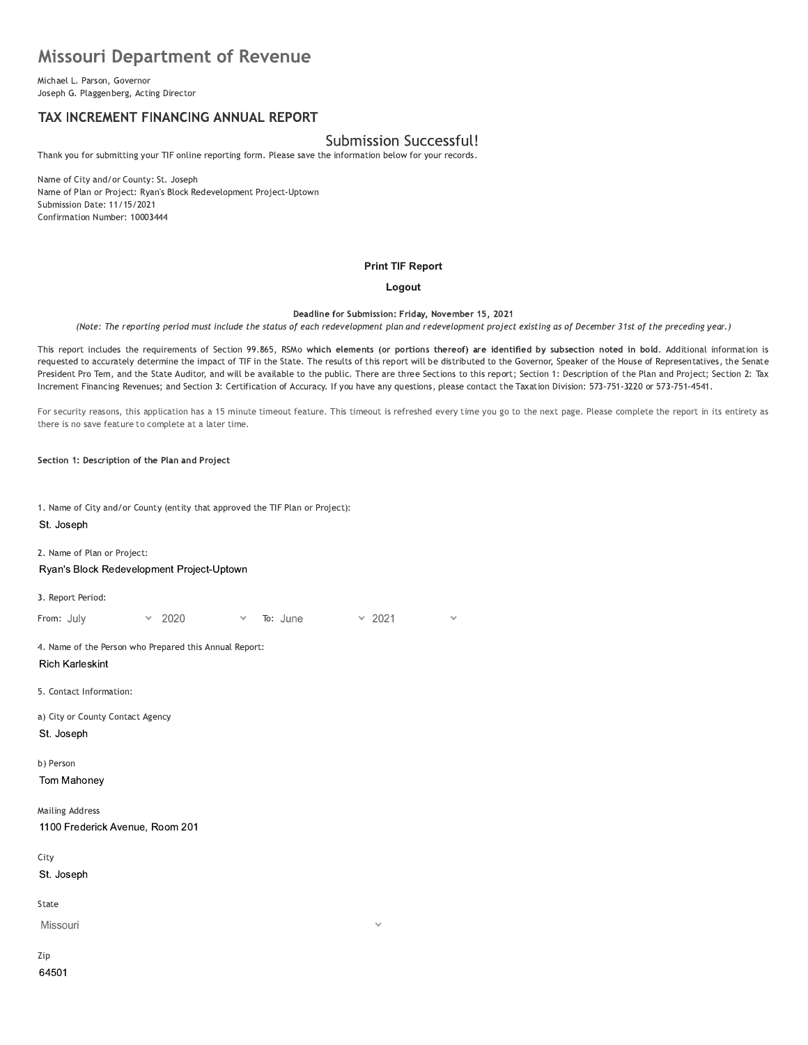# missouri Department of Revenue **Missouri Department o**<br>
Michael L. Parson, Governor<br>
Joseph G. Plaggenberg, Acting Director<br> **TAX INCREMENT FINANCING AI**<br>
Thank you for submitting your TIF online repor<br>
Name of City and/or County: St. Joseph

Michael L. Parson, Governor<br>Joseph G. Plaggenberg, Acting Director

# TAX INCREMENT FINANCING ANNUAL REPORT

# Submission Successful!

Thank you for submitting your TIF online reporting form. Please save the information below for your records.

Name of City and/or County: St. Joseph Name of Plan or Project: Ryan's Block Redevelopment Project-Uptown Submission Date: 11/15/2021 Confirmation Number: 10003444

#### **Print TIF Report**

#### Logout

Deadline for Submission: Friday, November 15, 2021

(Note: The reporting period must include the status of each redevelopment plan and redevelopment project existing as of December 31st of the preceding year.)

This report includes the requirements of Section 99.865, RSMO which elements (or portions thereor) are identified by subsection noted in December 31st of the preceding year.)<br>
tion noted in bold. Additional information is<br>
ker of the House of Representatives, the Senate<br>
cription of the Plan and Project; Section 2: Tax<br>
n: 573-751-3220 or 573-751-4541.<br>
e. requested to accurately determine the impact of TIF in the State. The results of this report will be distributed to the Governor, Speaker of the House of Representatives, the Senate<br>President Pro Tem, and the State Auditor Deadline for Submitshin: Friday, November 15, 2021<br>
Ris report includes the requirements of Section 99.865, RSMo which elements (or portions thereof) are identified by subsection noted in bold. Additional information is<br>
r Deadline for Submission: Friday, November 15, 2021<br>
(Note: The reporting period must include the status of each redevelopment plan and redevelopment project existing as of December 31st of the preceding year.<br>
This report

For security reasons, this application has a 15 minute timeout feature. This timeout is refreshed every time you go to the next page. Please complete the report in its entirety as there is no save feature to complete at a later time.

Section 1: Description of the Plan and Project

1. Name of City and/or County (entity that approved the TIF Plan or Project): St. Joseph

2. Name of Plan or Project:

**Ryan's Block Redevelopment Project-Uptown** 

3. Report Period:

Ryan's Block Redevelopment Project-Uptown<br>
3. Report Period:<br>
From: July  $\sqrt{2020}$   $\sqrt{50}$ : June  $\sqrt{2}$ <br>
4. Name of the Person who Prepared this Annual Report:<br>
Rich Karleskint<br>
5. Contact Information:<br>
a) City or Count **Rich Karleskint** 4. Name of the Person who Prepared this Annual<br>
Rich Karleskint<br>
5. Contact Information:<br>
a) City or County Contact Agency<br>
St. Joseph<br>
b) Person<br>
Tom Mahoney<br>
Mailing Address

5. Contact Information:

a) City or County Contact Agency St. Joseph

b) Person

Tom Mahoney

**Mailing Address** St. Joseph<br>
b) Person<br>
Tom Mahoney<br>
Mailing Address<br>
1100 Frederick Avenue, R<br>
City<br>
St. Joseph 1100 Frederick Avenue, Room 201

City

St. Joseph

State

Missouri

Zip 64501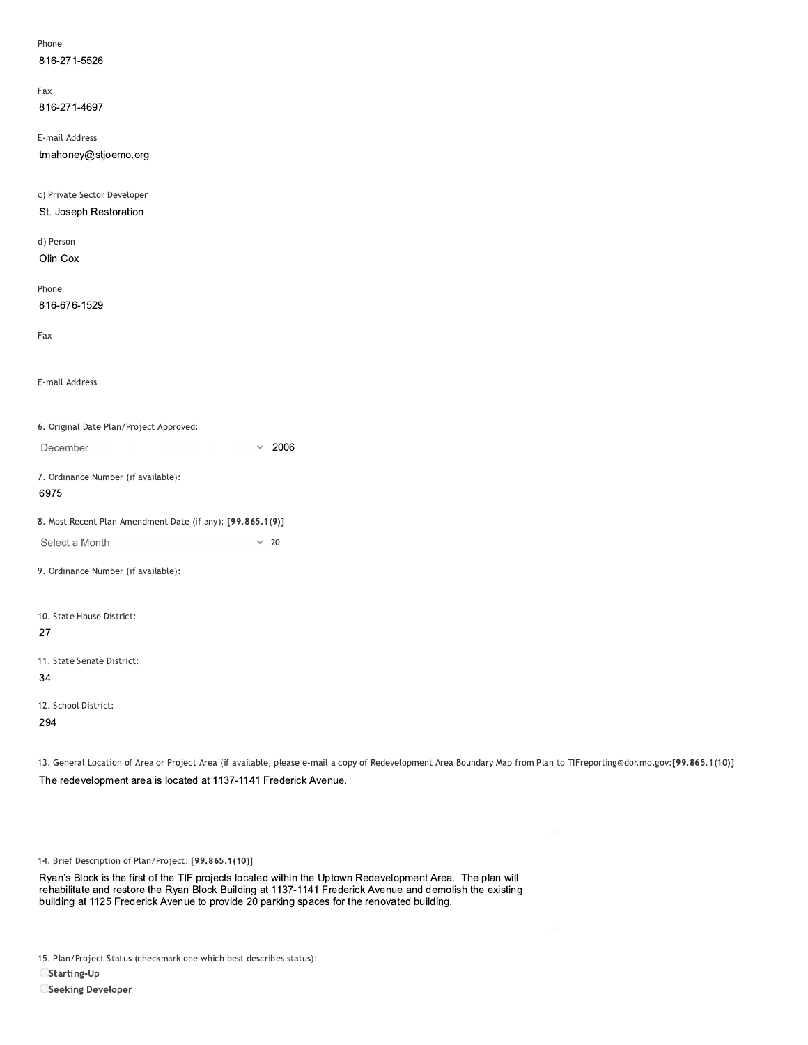| Phone                                                      |                      |  |
|------------------------------------------------------------|----------------------|--|
| 816-271-5526                                               |                      |  |
| Fax                                                        |                      |  |
| 816-271-4697                                               |                      |  |
| E-mail Address                                             |                      |  |
| tmahoney@stjoemo.org                                       |                      |  |
|                                                            |                      |  |
| c) Private Sector Developer                                |                      |  |
| St. Joseph Restoration                                     |                      |  |
|                                                            |                      |  |
| d) Person                                                  |                      |  |
| Olin Cox                                                   |                      |  |
| Phone                                                      |                      |  |
| 816-676-1529                                               |                      |  |
|                                                            |                      |  |
| Fax                                                        |                      |  |
|                                                            |                      |  |
| E-mail Address                                             |                      |  |
|                                                            |                      |  |
| 6. Original Date Plan/Project Approved:                    |                      |  |
|                                                            |                      |  |
| December                                                   | 2006<br>$\checkmark$ |  |
| 7. Ordinance Number (if available):                        |                      |  |
| 6975                                                       |                      |  |
| 8. Most Recent Plan Amendment Date (if any): [99.865.1(9)] |                      |  |
| Select a Month                                             | $\times$ 20          |  |
|                                                            |                      |  |
| 9. Ordinance Number (if available):                        |                      |  |
|                                                            |                      |  |
| 10. State House District:                                  |                      |  |
| 27                                                         |                      |  |
| 11. State Senate District:                                 |                      |  |
| 34                                                         |                      |  |
|                                                            |                      |  |
| 12. School District:                                       |                      |  |
| 294                                                        |                      |  |

13. General Location of Area or Project Area (if available, please e-mail a copy of Redevelopment Area Boundary Map from Plan to TIFreporting@dor.mo.gov:[99.865.1(10)] The redevelopment area is located at 1137-1141 Frederick Avenue.

14. Brief Description of Plan/Project: [99.865.1(10)]

Ryan's Block is the first of the TIF projects located within the Uptown Redevelopment Area. The plan will rehabilitate and restore the Ryan Block Building at 1137-1141 Frederick Avenue and demolish the existing building at

15. Plan/Project Status (checkmark one which best describes status):

 $\bigcirc$ Starting-Up

**OSeeking Developer**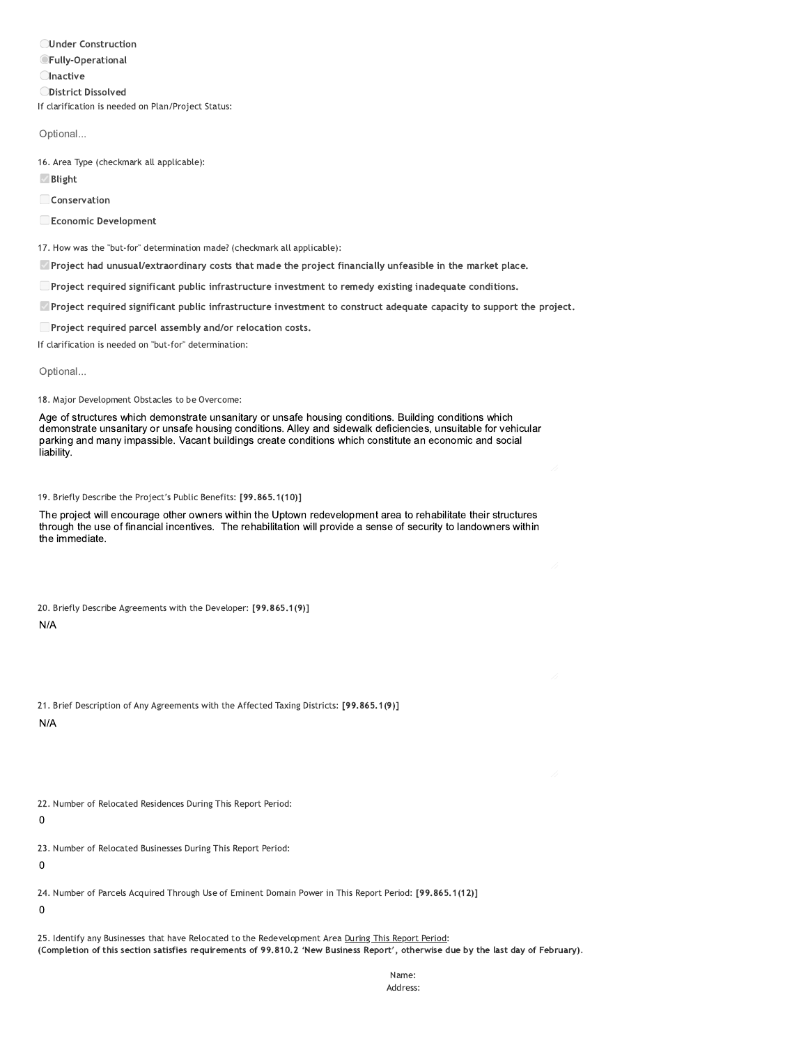**OUnder Construction OFully-Operational Olnactive ODistrict Dissolved** If clarification is needed on Plan/Project Status:

Optional...

16. Area Type (checkmark all applicable):

 $\vee$  Blight

Conservation

Economic Development

17. How was the "but-for" determination made? (checkmark all applicable):

Project had unusual/extraordinary costs that made the project financially unfeasible in the market place.

Project required significant public infrastructure investment to remedy existing inadequate conditions.

Project required significant public infrastructure investment to construct adequate capacity to support the project.

Project required parcel assembly and/or relocation costs.

If clarification is needed on "but-for" determination:

Optional...

18. Major Development Obstacles to be Overcome:

Age of structures which demonstrate unsanitary or unsafe housing conditions. Building conditions which demonstrate unsanitary or unsafe housing conditions. Alley and sidewalk deficiencies, unsuitable for vehicular parking and many impassible. Vacant buildings create conditions which constitute an economic and social liability.

19. Briefly Describe the Project's Public Benefits: [99.865.1(10)]

The project will encourage other owners within the Uptown redevelopment area to rehabilitate their structures through the use of financial incentives. The rehabilitation will provide a sense of security to landowners within the immediate.

20. Briefly Describe Agreements with the Developer: [99.865.1(9)]

 $N/A$ 

|            |  | 21. Brief Description of Any Agreements with the Affected Taxing Districts: [99.865.1(9)] |  |  |  |  |
|------------|--|-------------------------------------------------------------------------------------------|--|--|--|--|
| <b>AIA</b> |  |                                                                                           |  |  |  |  |

 $N/A$ 

22. Number of Relocated Residences During This Report Period:

 $\mathbf 0$ 

23. Number of Relocated Businesses During This Report Period:

 $\mathbf 0$ 

24. Number of Parcels Acquired Through Use of Eminent Domain Power in This Report Period: [99.865.1(12)]

 $\mathbf 0$ 

25. Identify any Businesses that have Relocated to the Redevelopment Area During This Report Period: (Completion of this section satisfies requirements of 99.810.2 'New Business Report', otherwise due by the last day of February).

> Name: Address: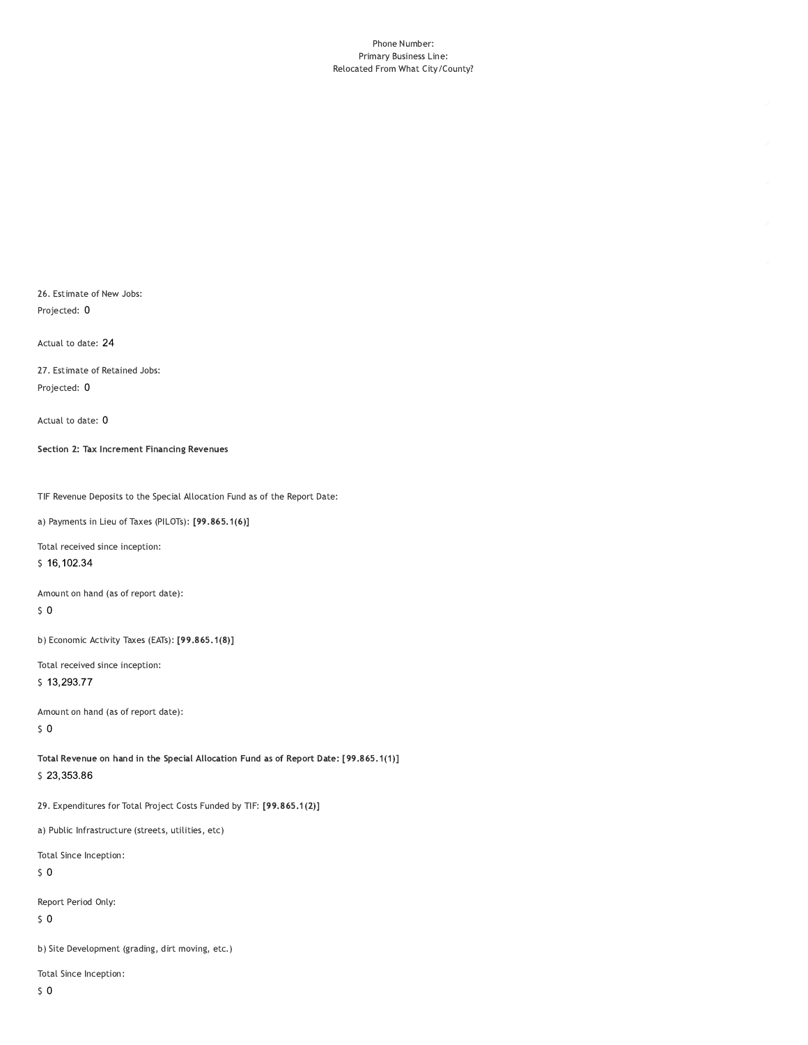#### Phone Number: Primary Business Line: Relocated From What City/County?

26. Estimate of New Jobs: Projected: 0

Actual to date: 24

27. Estimate of Retained Jobs: Projected: 0

Actual to date: 0

Section 2: Tax Increment Financing Revenues

TIF Revenue Deposits to the Special Allocation Fund as of the Report Date:

a) Payments in Lieu of Taxes (PILOTs): [99.865.1(6)]

Total received since inception:

\$16,102.34

Amount on hand (as of report date):

 $\sqrt{5}$  O

b) Economic Activity Taxes (EATs): [99.865.1(8)]

Total received since inception:

\$13,293.77

Amount on hand (as of report date):  $50$ 

Total Revenue on hand in the Special Allocation Fund as of Report Date: [99.865.1(1)] \$23,353.86

29. Expenditures for Total Project Costs Funded by TIF: [99.865.1(2)]

a) Public Infrastructure (streets, utilities, etc)

Total Since Inception:

 $\sqrt{5}$  O

Report Period Only:

 $\sqrt{5}$  O

b) Site Development (grading, dirt moving, etc.)

Total Since Inception: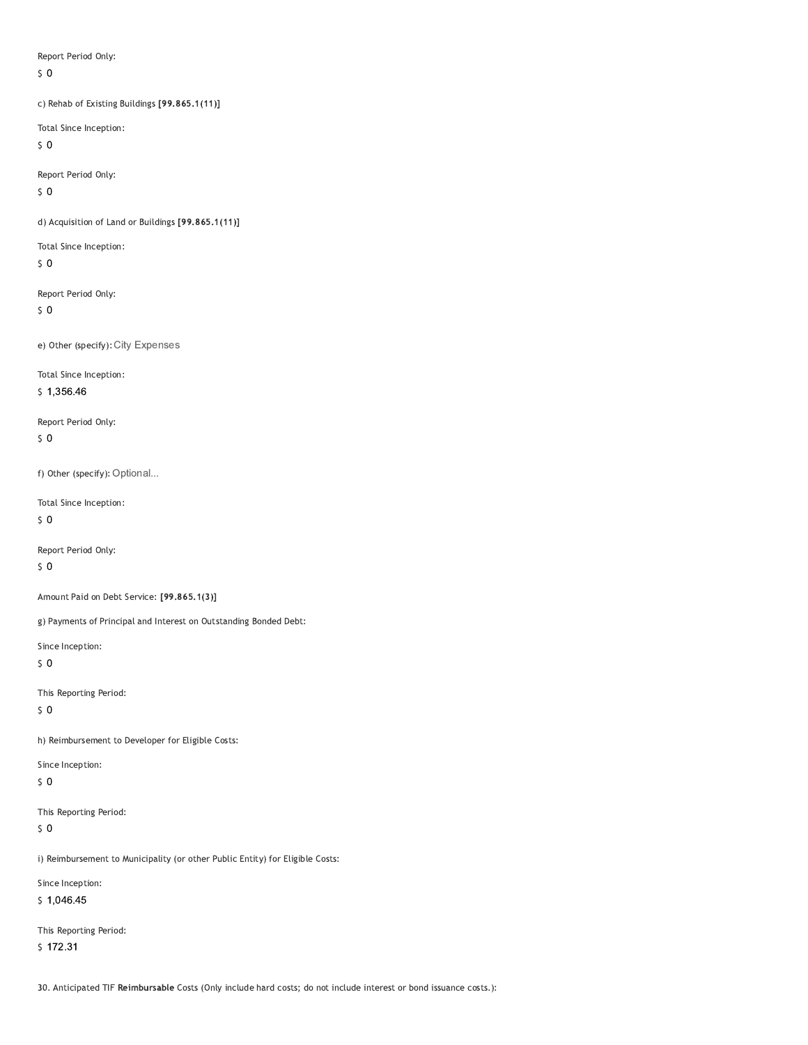Report Period Only:

 $\zeta$  0

c) Rehab of Existing Buildings [99.865.1(11)]

Total Since Inception:

 $\sqrt{5}$  O

Report Period Only:

 $50$ 

d) Acquisition of Land or Buildings [99.865.1(11)]

Total Since Inception:

 $\zeta$  0

Report Period Only:

 $\sqrt{5}$  O

e) Other (specify): City Expenses

Total Since Inception:

 $$1,356.46$ 

Report Period Only:

 $50$ 

f) Other (specify): Optional...

Total Since Inception:

 $50$ 

Report Period Only:

 $\sqrt{5}$  O

Amount Paid on Debt Service: [99.865.1(3)]

g) Payments of Principal and Interest on Outstanding Bonded Debt:

Since Inception:

 $\zeta$  0

This Reporting Period:

 $\sqrt{5}$  O

h) Reimbursement to Developer for Eligible Costs:

Since Inception:

 $\sqrt{5}$  O

This Reporting Period:

 $\sqrt{5}$  O

i) Reimbursement to Municipality (or other Public Entity) for Eligible Costs:

Since Inception:

 $$1,046.45$ 

This Reporting Period:  $$172.31$ 

30. Anticipated TIF Reimbursable Costs (Only include hard costs; do not include interest or bond issuance costs.):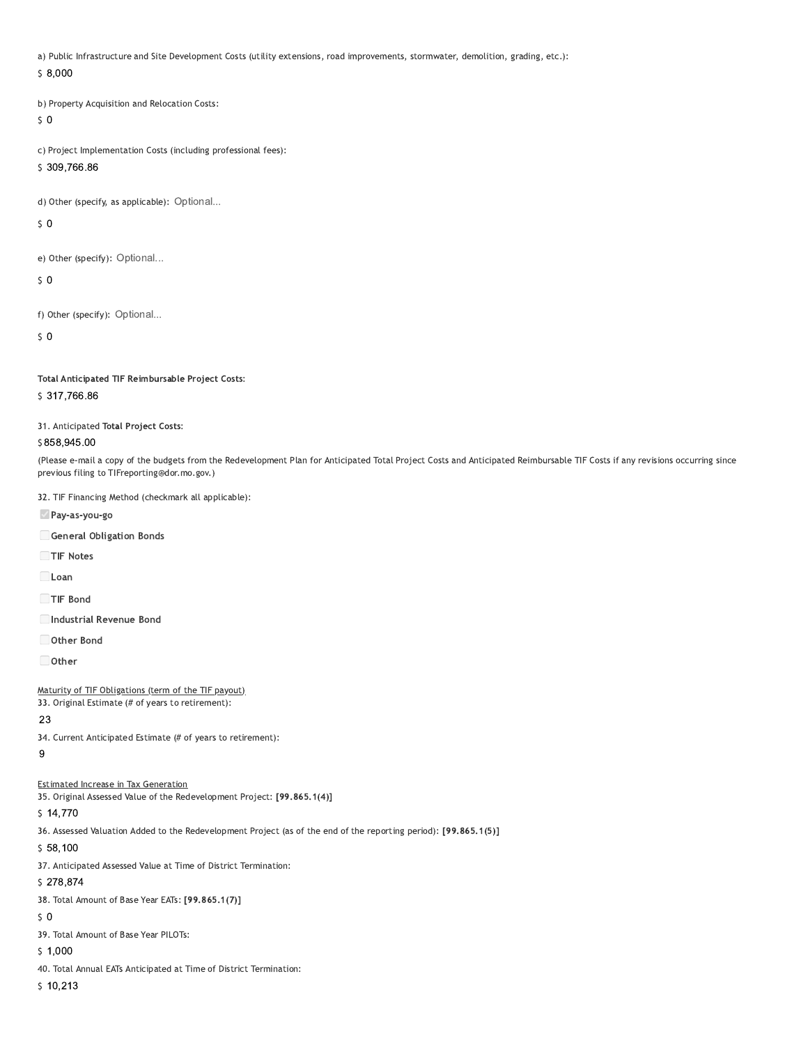a) Public Infrastructure and Site Development Costs (utility extensions, road improvements, stormwater, demolition, grading, etc.):

 $$8,000$ 

b) Property Acquisition and Relocation Costs:

 $50$ 

c) Project Implementation Costs (including professional fees):

\$309,766.86

d) Other (specify, as applicable): Optional...

 $50$ 

e) Other (specify): Optional...

 $\sqrt{5}$  O

f) Other (specify): Optional...

 $\mathsf{S}$  0

Total Anticipated TIF Reimbursable Project Costs:

## \$317,766.86

31. Anticipated Total Project Costs:

#### \$858,945.00

(Please e-mail a copy of the budgets from the Redevelopment Plan for Anticipated Total Project Costs and Anticipated Reimbursable TIF Costs if any revisions occurring since previous filing to TIFreporting@dor.mo.gov.)

32. TIF Financing Method (checkmark all applicable):

Pay-as-you-go

General Obligation Bonds

TIF Notes

 $\Box$ Loan

TIF Bond

Industrial Revenue Bond

Other Bond

 $\Box$  Other

Maturity of TIF Obligations (term of the TIF payout)

33. Original Estimate (# of years to retirement):

## 23

34. Current Anticipated Estimate (# of years to retirement):

 $\overline{9}$ 

## **Estimated Increase in Tax Generation**

35. Original Assessed Value of the Redevelopment Project: [99.865.1(4)]

 $$14,770$ 

36. Assessed Valuation Added to the Redevelopment Project (as of the end of the reporting period): [99.865.1(5)]

 $$58,100$ 

37. Anticipated Assessed Value at Time of District Termination:

### \$278,874

38. Total Amount of Base Year EATs: [99.865.1(7)]

## $50$

39. Total Amount of Base Year PILOTs:

 $$1,000$ 

40. Total Annual EATs Anticipated at Time of District Termination:

 $$10,213$